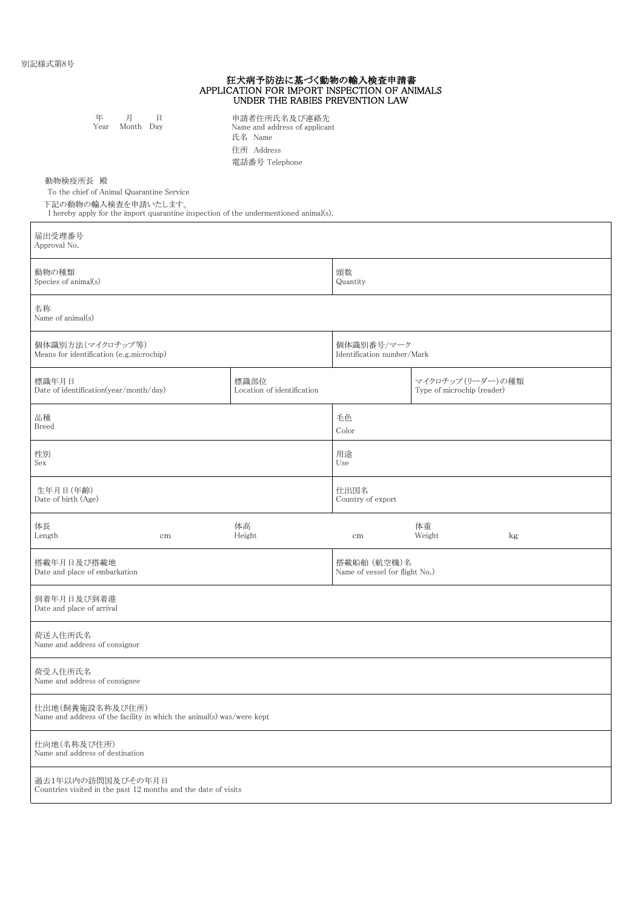|                                                                                          |                | 狂犬病予防法に基づく動物の輸入検査申請書<br>APPLICATION FOR IMPORT INSPECTION OF ANIMALS<br>UNDER THE RABIES PREVENTION LAW |                                               |                                                 |    |  |  |
|------------------------------------------------------------------------------------------|----------------|---------------------------------------------------------------------------------------------------------|-----------------------------------------------|-------------------------------------------------|----|--|--|
| 年<br>月<br>Year                                                                           | 日<br>Month Day | 申請者住所氏名及び連絡先<br>Name and address of applicant<br>氏名 Name<br>住所 Address<br>電話番号 Telephone                |                                               |                                                 |    |  |  |
| 動物検疫所長 殿<br>To the chief of Animal Quarantine Service<br>下記の動物の輸入検査を申請いたします。             |                | I hereby apply for the import quarantine inspection of the undermentioned animal(s).                    |                                               |                                                 |    |  |  |
| 届出受理番号<br>Approval No.                                                                   |                |                                                                                                         |                                               |                                                 |    |  |  |
| 動物の種類<br>Species of animal(s)                                                            |                |                                                                                                         | 頭数<br>Quantity                                |                                                 |    |  |  |
| 名称<br>Name of animal(s)                                                                  |                |                                                                                                         |                                               |                                                 |    |  |  |
| 個体識別方法(マイクロチップ等)<br>Means for identification (e.g.microchip)                             |                | 個体識別番号/マーク<br>Identification number/Mark                                                                |                                               |                                                 |    |  |  |
| 標識年月日<br>Date of identification(year/month/day)                                          |                | 標識部位<br>Location of identification                                                                      |                                               | マイクロチップ (リーダー)の種類<br>Type of microchip (reader) |    |  |  |
| 品種<br>Breed                                                                              |                |                                                                                                         | 毛色<br>Color                                   |                                                 |    |  |  |
| 性別<br>Sex                                                                                |                |                                                                                                         | 用途<br>Use                                     |                                                 |    |  |  |
| 生年月日(年齢)<br>Date of birth (Age)                                                          |                |                                                                                                         | 仕出国名<br>Country of export                     |                                                 |    |  |  |
| 体長<br>Length                                                                             | cm             | 体高<br>Height                                                                                            | cm                                            | 体重<br>Weight                                    | kg |  |  |
| 搭載年月日及び搭載地<br>Date and place of embarkation                                              |                |                                                                                                         | 搭載船舶 (航空機)名<br>Name of vessel (or flight No.) |                                                 |    |  |  |
| 到着年月日及び到着港<br>Date and place of arrival                                                  |                |                                                                                                         |                                               |                                                 |    |  |  |
| 荷送人住所氏名<br>Name and address of consignor                                                 |                |                                                                                                         |                                               |                                                 |    |  |  |
| 荷受人住所氏名<br>Name and address of consignee                                                 |                |                                                                                                         |                                               |                                                 |    |  |  |
| 仕出地(飼養施設名称及び住所)<br>Name and address of the facility in which the animal(s) was/were kept |                |                                                                                                         |                                               |                                                 |    |  |  |
| 仕向地(名称及び住所)<br>Name and address of destination                                           |                |                                                                                                         |                                               |                                                 |    |  |  |
| 過去1年以内の訪問国及びその年月日<br>Countries visited in the past 12 months and the date of visits      |                |                                                                                                         |                                               |                                                 |    |  |  |